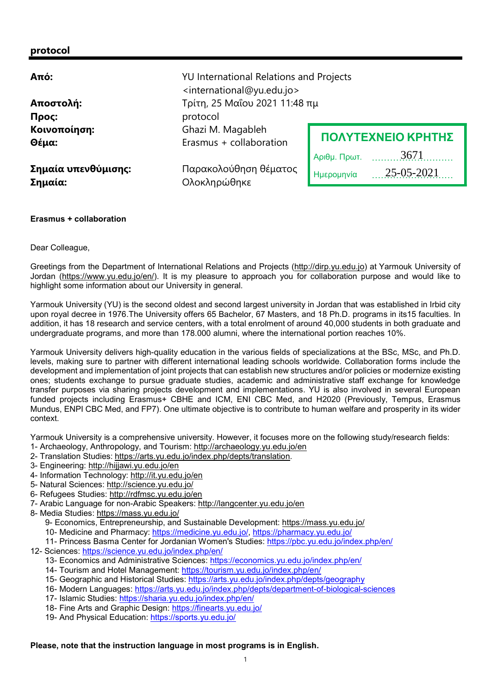## protocol

| Από:                           | <b>YU International Relations and Projects</b><br><international@yu.edu.jo></international@yu.edu.jo> |                          |
|--------------------------------|-------------------------------------------------------------------------------------------------------|--------------------------|
| Αποστολή:                      | Τρίτη, 25 Μαΐου 2021 11:48 πμ                                                                         |                          |
| Προς:                          | protocol                                                                                              |                          |
| Κοινοποίηση:<br>Θέμα:          | Ghazi M. Magableh<br>Erasmus + collaboration                                                          | ΠΟΛΥΤΕΧΝΕΙΟ ΚΡΗΤΗΣ       |
|                                |                                                                                                       | 3671<br>Αριθμ. Πρωτ.     |
| Σημαία υπενθύμισης:<br>Σημαία: | Παρακολούθηση θέματος<br>Ολοκληρώθηκε                                                                 | 25-05-2021<br>Ημερομηνία |

## Erasmus + collaboration

## Dear Colleague,

Greetings from the Department of International Relations and Projects (http://dirp.yu.edu.jo) at Yarmouk University of Jordan (https://www.yu.edu.jo/en/). It is my pleasure to approach you for collaboration purpose and would like to highlight some information about our University in general.

Yarmouk University (YU) is the second oldest and second largest university in Jordan that was established in Irbid city upon royal decree in 1976.The University offers 65 Bachelor, 67 Masters, and 18 Ph.D. programs in its15 faculties. In addition, it has 18 research and service centers, with a total enrolment of around 40,000 students in both graduate and undergraduate programs, and more than 178.000 alumni, where the international portion reaches 10%.

Yarmouk University delivers high-quality education in the various fields of specializations at the BSc, MSc, and Ph.D. levels, making sure to partner with different international leading schools worldwide. Collaboration forms include the development and implementation of joint projects that can establish new structures and/or policies or modernize existing ones; students exchange to pursue graduate studies, academic and administrative staff exchange for knowledge transfer purposes via sharing projects development and implementations. YU is also involved in several European funded projects including Erasmus+ CBHE and ICM, ENI CBC Med, and H2020 (Previously, Tempus, Erasmus Mundus, ENPI CBC Med, and FP7). One ultimate objective is to contribute to human welfare and prosperity in its wider context. **EXERCTIO KPHTTHS**<br> **EXERCT CONSULTER CONSULTER CONSULTER CONSULTER CONSULTER CONSULTER CONSULTER CONSULTER CONSULTER CONSULTER CONSULTER CONSULTER CONSULTER CONSULTER CONSULTER CONSULTER CONSULTER CONSULTER CONSULTER CON** 

Yarmouk University is a comprehensive university. However, it focuses more on the following study/research fields:

- 1- Archaeology, Anthropology, and Tourism: http://archaeology.yu.edu.jo/en
- 2- Translation Studies: https://arts.yu.edu.jo/index.php/depts/translation.
- 3- Engineering: http://hijjawi.yu.edu.jo/en
- 4- Information Technology: http://it.yu.edu.jo/en
- 5- Natural Sciences: http://science.yu.edu.jo/
- 6- Refugees Studies: http://rdfmsc.yu.edu.jo/en
- 7- Arabic Language for non-Arabic Speakers: http://langcenter.yu.edu.jo/en
- 8- Media Studies: https://mass.yu.edu.jo/

9- Economics, Entrepreneurship, and Sustainable Development: https://mass.yu.edu.jo/

10- Medicine and Pharmacy: https://medicine.yu.edu.jo/, https://pharmacy.yu.edu.jo/

- 11- Princess Basma Center for Jordanian Women's Studies: https://pbc.yu.edu.jo/index.php/en/
- 12- Sciences: https://science.yu.edu.jo/index.php/en/
	- 13- Economics and Administrative Sciences: https://economics.yu.edu.jo/index.php/en/
	- 14- Tourism and Hotel Management: https://tourism.yu.edu.jo/index.php/en/
	- 15- Geographic and Historical Studies: https://arts.yu.edu.jo/index.php/depts/geography
	- 16- Modern Languages: https://arts.yu.edu.jo/index.php/depts/department-of-biological-sciences
	- 17- Islamic Studies: https://sharia.yu.edu.jo/index.php/en/
	- 18- Fine Arts and Graphic Design: https://finearts.yu.edu.jo/
	- 19- And Physical Education: https://sports.yu.edu.jo/